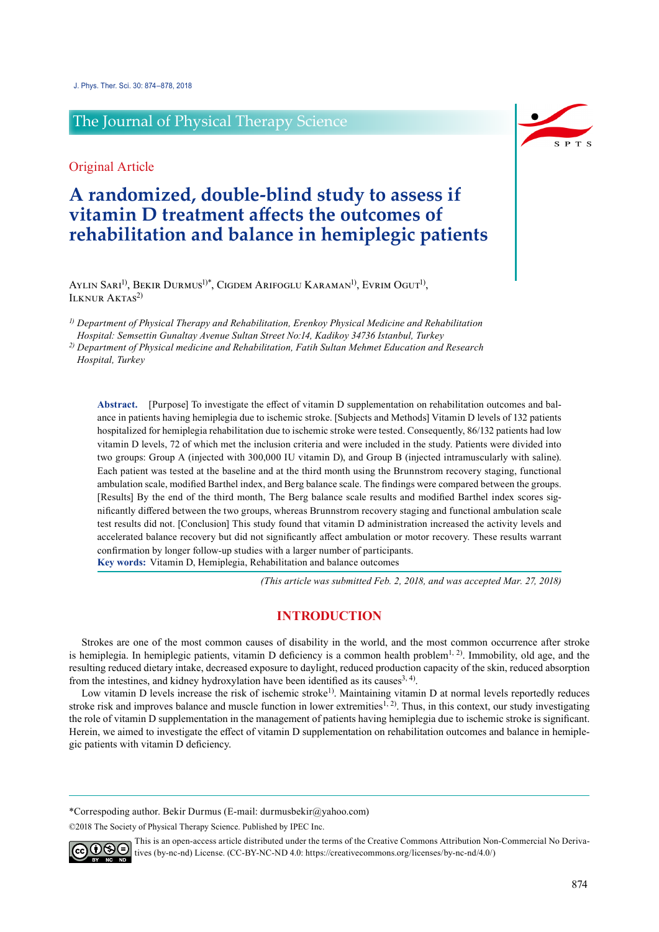## The Journal of Physical Therapy Science

Original Article

# **A randomized, double-blind study to assess if vitamin D treatment affects the outcomes of rehabilitation and balance in hemiplegic patients**

AYLIN SARI<sup>1)</sup>, BEKIR DURMUS<sup>1)\*</sup>, CIGDEM ARIFOGLU KARAMAN<sup>1)</sup>, EVRIM OGUT<sup>1</sup>), ILKNUR AKTAS<sup>2)</sup>

*1) Department of Physical Therapy and Rehabilitation, Erenkoy Physical Medicine and Rehabilitation* 

*Hospital: Semsettin Gunaltay Avenue Sultan Street No:14, Kadikoy 34736 Istanbul, Turkey*

*2) Department of Physical medicine and Rehabilitation, Fatih Sultan Mehmet Education and Research Hospital, Turkey*

**Abstract.** [Purpose] To investigate the effect of vitamin D supplementation on rehabilitation outcomes and balance in patients having hemiplegia due to ischemic stroke. [Subjects and Methods] Vitamin D levels of 132 patients hospitalized for hemiplegia rehabilitation due to ischemic stroke were tested. Consequently, 86/132 patients had low vitamin D levels, 72 of which met the inclusion criteria and were included in the study. Patients were divided into two groups: Group A (injected with 300,000 IU vitamin D), and Group B (injected intramuscularly with saline). Each patient was tested at the baseline and at the third month using the Brunnstrom recovery staging, functional ambulation scale, modified Barthel index, and Berg balance scale. The findings were compared between the groups. [Results] By the end of the third month, The Berg balance scale results and modified Barthel index scores significantly differed between the two groups, whereas Brunnstrom recovery staging and functional ambulation scale test results did not. [Conclusion] This study found that vitamin D administration increased the activity levels and accelerated balance recovery but did not significantly affect ambulation or motor recovery. These results warrant confirmation by longer follow-up studies with a larger number of participants. **Key words:** Vitamin D, Hemiplegia, Rehabilitation and balance outcomes

*(This article was submitted Feb. 2, 2018, and was accepted Mar. 27, 2018)*

### **INTRODUCTION**

Strokes are one of the most common causes of disability in the world, and the most common occurrence after stroke is hemiplegia. In hemiplegic patients, vitamin D deficiency is a common health problem<sup>[1, 2\)](#page-4-0)</sup>. Immobility, old age, and the resulting reduced dietary intake, decreased exposure to daylight, reduced production capacity of the skin, reduced absorption from the intestines, and kidney hydroxylation have been identified as its causes<sup>3, 4)</sup>.

Low vitamin D levels increase the risk of ischemic stroke<sup>[1\)](#page-4-0)</sup>. Maintaining vitamin D at normal levels reportedly reduces stroke risk and improves balance and muscle function in lower extremities<sup>[1, 2](#page-4-0))</sup>. Thus, in this context, our study investigating the role of vitamin D supplementation in the management of patients having hemiplegia due to ischemic stroke is significant. Herein, we aimed to investigate the effect of vitamin D supplementation on rehabilitation outcomes and balance in hemiplegic patients with vitamin D deficiency.

©2018 The Society of Physical Therapy Science. Published by IPEC Inc.



This is an open-access article distributed under the terms of the Creative Commons Attribution Non-Commercial No Derivatives (by-nc-nd) License. (CC-BY-NC-ND 4.0:<https://creativecommons.org/licenses/by-nc-nd/4.0/>)



<sup>\*</sup>Correspoding author. Bekir Durmus (E-mail: durmusbekir@yahoo.com)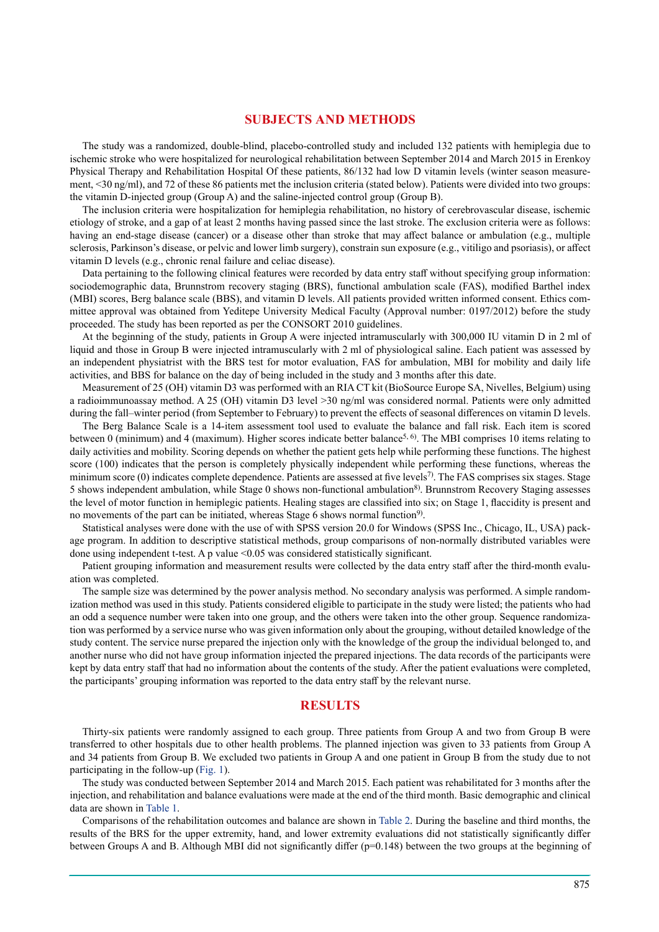#### **SUBJECTS AND METHODS**

The study was a randomized, double-blind, placebo-controlled study and included 132 patients with hemiplegia due to ischemic stroke who were hospitalized for neurological rehabilitation between September 2014 and March 2015 in Erenkoy Physical Therapy and Rehabilitation Hospital Of these patients, 86/132 had low D vitamin levels (winter season measurement, <30 ng/ml), and 72 of these 86 patients met the inclusion criteria (stated below). Patients were divided into two groups: the vitamin D-injected group (Group A) and the saline-injected control group (Group B).

The inclusion criteria were hospitalization for hemiplegia rehabilitation, no history of cerebrovascular disease, ischemic etiology of stroke, and a gap of at least 2 months having passed since the last stroke. The exclusion criteria were as follows: having an end-stage disease (cancer) or a disease other than stroke that may affect balance or ambulation (e.g., multiple sclerosis, Parkinson's disease, or pelvic and lower limb surgery), constrain sun exposure (e.g., vitiligo and psoriasis), or affect vitamin D levels (e.g., chronic renal failure and celiac disease).

Data pertaining to the following clinical features were recorded by data entry staff without specifying group information: sociodemographic data, Brunnstrom recovery staging (BRS), functional ambulation scale (FAS), modified Barthel index (MBI) scores, Berg balance scale (BBS), and vitamin D levels. All patients provided written informed consent. Ethics committee approval was obtained from Yeditepe University Medical Faculty (Approval number: 0197/2012) before the study proceeded. The study has been reported as per the CONSORT 2010 guidelines.

At the beginning of the study, patients in Group A were injected intramuscularly with 300,000 IU vitamin D in 2 ml of liquid and those in Group B were injected intramuscularly with 2 ml of physiological saline. Each patient was assessed by an independent physiatrist with the BRS test for motor evaluation, FAS for ambulation, MBI for mobility and daily life activities, and BBS for balance on the day of being included in the study and 3 months after this date.

Measurement of 25 (OH) vitamin D3 was performed with an RIA CT kit (BioSource Europe SA, Nivelles, Belgium) using a radioimmunoassay method. A 25 (OH) vitamin D3 level >30 ng/ml was considered normal. Patients were only admitted during the fall–winter period (from September to February) to prevent the effects of seasonal differences on vitamin D levels.

The Berg Balance Scale is a 14-item assessment tool used to evaluate the balance and fall risk. Each item is scored between 0 (minimum) and 4 (maximum). Higher scores indicate better balance<sup>[5, 6](#page-4-2))</sup>. The MBI comprises 10 items relating to daily activities and mobility. Scoring depends on whether the patient gets help while performing these functions. The highest score (100) indicates that the person is completely physically independent while performing these functions, whereas the minimum score (0) indicates complete dependence. Patients are assessed at five levels<sup>[7](#page-4-3)</sup>. The FAS comprises six stages. Stage 5 shows independent ambulation, while Stage 0 shows non-functional ambulation<sup>[8](#page-4-4))</sup>. Brunnstrom Recovery Staging assesses the level of motor function in hemiplegic patients. Healing stages are classified into six; on Stage 1, flaccidity is present and no movements of the part can be initiated, whereas Stage 6 shows normal function<sup>9)</sup>.

Statistical analyses were done with the use of with SPSS version 20.0 for Windows (SPSS Inc., Chicago, IL, USA) package program. In addition to descriptive statistical methods, group comparisons of non-normally distributed variables were done using independent t-test. A p value <0.05 was considered statistically significant.

Patient grouping information and measurement results were collected by the data entry staff after the third-month evaluation was completed.

The sample size was determined by the power analysis method. No secondary analysis was performed. A simple randomization method was used in this study. Patients considered eligible to participate in the study were listed; the patients who had an odd a sequence number were taken into one group, and the others were taken into the other group. Sequence randomization was performed by a service nurse who was given information only about the grouping, without detailed knowledge of the study content. The service nurse prepared the injection only with the knowledge of the group the individual belonged to, and another nurse who did not have group information injected the prepared injections. The data records of the participants were kept by data entry staff that had no information about the contents of the study. After the patient evaluations were completed, the participants' grouping information was reported to the data entry staff by the relevant nurse.

#### **RESULTS**

Thirty-six patients were randomly assigned to each group. Three patients from Group A and two from Group B were transferred to other hospitals due to other health problems. The planned injection was given to 33 patients from Group A and 34 patients from Group B. We excluded two patients in Group A and one patient in Group B from the study due to not participating in the follow-up (Fig. 1).

The study was conducted between September 2014 and March 2015. Each patient was rehabilitated for 3 months after the injection, and rehabilitation and balance evaluations were made at the end of the third month. Basic demographic and clinical data are shown in Table 1.

Comparisons of the rehabilitation outcomes and balance are shown in Table 2. During the baseline and third months, the results of the BRS for the upper extremity, hand, and lower extremity evaluations did not statistically significantly differ between Groups A and B. Although MBI did not significantly differ (p=0.148) between the two groups at the beginning of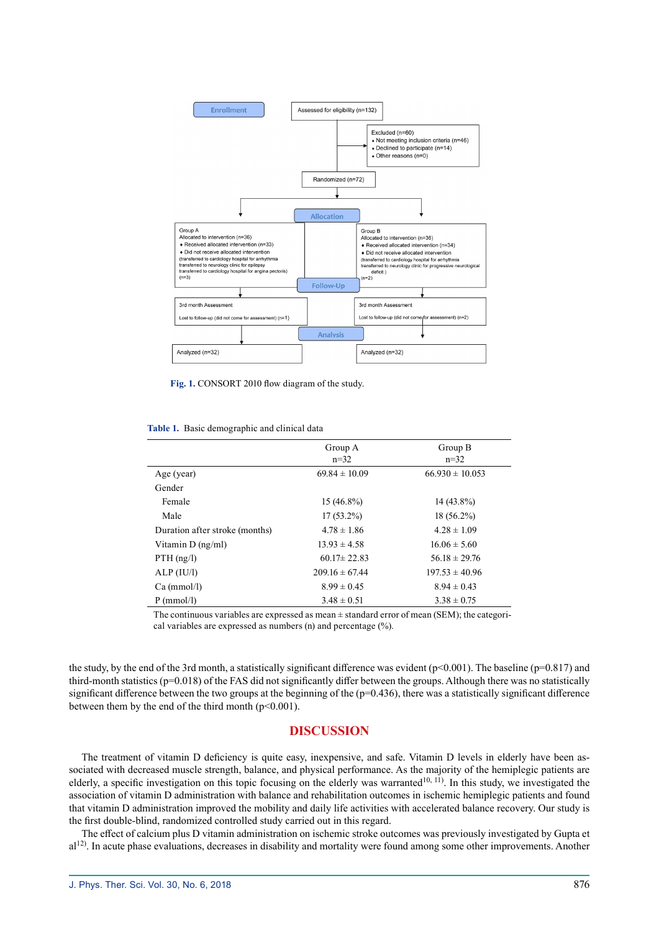

Fig. 1. CONSORT 2010 flow diagram of the study.

|                                | Group A<br>$n=32$  | Group B<br>$n=32$   |
|--------------------------------|--------------------|---------------------|
| Age (year)                     | $69.84 \pm 10.09$  | $66.930 \pm 10.053$ |
| Gender                         |                    |                     |
| Female                         | $15(46.8\%)$       | 14 (43.8%)          |
| Male                           | $17(53.2\%)$       | $18(56.2\%)$        |
| Duration after stroke (months) | $4.78 \pm 1.86$    | $4.28 \pm 1.09$     |
| Vitamin $D$ (ng/ml)            | $13.93 \pm 4.58$   | $16.06 \pm 5.60$    |
| $PTH$ (ng/l)                   | $60.17 \pm 22.83$  | $56.18 \pm 29.76$   |
| ALP (IU/I)                     | $209.16 \pm 67.44$ | $197.53 \pm 40.96$  |
| Ca (mmol/l)                    | $8.99 \pm 0.45$    | $8.94 \pm 0.43$     |
| $P$ (mmol/l)                   | $3.48 \pm 0.51$    | $3.38 \pm 0.75$     |
|                                |                    |                     |

**Table 1.** Basic demographic and clinical data

The continuous variables are expressed as mean  $\pm$  standard error of mean (SEM); the categorical variables are expressed as numbers (n) and percentage (%).

the study, by the end of the 3rd month, a statistically significant difference was evident ( $p<0.001$ ). The baseline ( $p=0.817$ ) and third-month statistics (p=0.018) of the FAS did not significantly differ between the groups. Although there was no statistically significant difference between the two groups at the beginning of the  $(p=0.436)$ , there was a statistically significant difference between them by the end of the third month  $(p<0.001)$ .

#### **DISCUSSION**

The treatment of vitamin D deficiency is quite easy, inexpensive, and safe. Vitamin D levels in elderly have been associated with decreased muscle strength, balance, and physical performance. As the majority of the hemiplegic patients are elderly, a specific investigation on this topic focusing on the elderly was warranted<sup>10, 11</sup>). In this study, we investigated the association of vitamin D administration with balance and rehabilitation outcomes in ischemic hemiplegic patients and found that vitamin D administration improved the mobility and daily life activities with accelerated balance recovery. Our study is the first double-blind, randomized controlled study carried out in this regard.

The effect of calcium plus D vitamin administration on ischemic stroke outcomes was previously investigated by Gupta et  $al<sup>12</sup>$ . In acute phase evaluations, decreases in disability and mortality were found among some other improvements. Another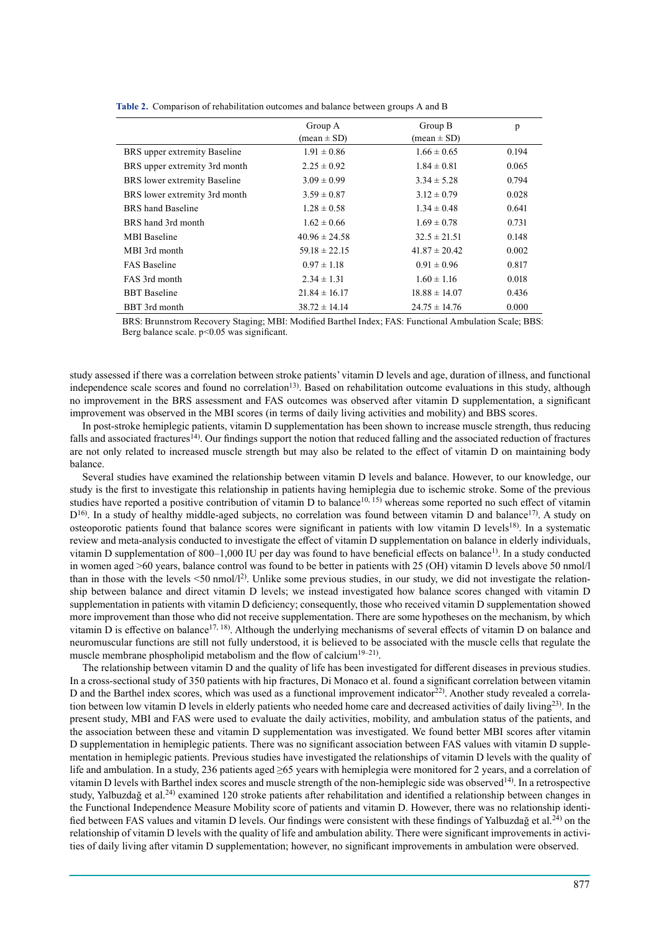|  |  | Table 2. Comparison of rehabilitation outcomes and balance between groups A and B |  |
|--|--|-----------------------------------------------------------------------------------|--|
|  |  |                                                                                   |  |

|                               | Group A<br>$mean \pm SD$ | Group B<br>$mean \pm SD$ | p     |
|-------------------------------|--------------------------|--------------------------|-------|
| BRS upper extremity Baseline  | $1.91 \pm 0.86$          | $1.66 \pm 0.65$          | 0.194 |
| BRS upper extremity 3rd month | $2.25 \pm 0.92$          | $1.84 \pm 0.81$          | 0.065 |
| BRS lower extremity Baseline  | $3.09 \pm 0.99$          | $3.34 \pm 5.28$          | 0.794 |
| BRS lower extremity 3rd month | $3.59 \pm 0.87$          | $3.12 \pm 0.79$          | 0.028 |
| BRS hand Baseline             | $1.28 \pm 0.58$          | $1.34 \pm 0.48$          | 0.641 |
| BRS hand 3rd month            | $1.62 \pm 0.66$          | $1.69 \pm 0.78$          | 0.731 |
| <b>MBI</b> Baseline           | $40.96 \pm 24.58$        | $32.5 \pm 21.51$         | 0.148 |
| MBI 3rd month                 | $59.18 \pm 22.15$        | $41.87 \pm 20.42$        | 0.002 |
| <b>FAS Baseline</b>           | $0.97 \pm 1.18$          | $0.91 \pm 0.96$          | 0.817 |
| FAS 3rd month                 | $2.34 \pm 1.31$          | $1.60 \pm 1.16$          | 0.018 |
| <b>BBT</b> Baseline           | $21.84 \pm 16.17$        | $18.88 \pm 14.07$        | 0.436 |
| BBT 3rd month                 | $38.72 \pm 14.14$        | $24.75 \pm 14.76$        | 0.000 |

BRS: Brunnstrom Recovery Staging; MBI: Modified Barthel Index; FAS: Functional Ambulation Scale; BBS: Berg balance scale. p<0.05 was significant.

study assessed if there was a correlation between stroke patients' vitamin D levels and age, duration of illness, and functional independence scale scores and found no correlation<sup>13</sup>. Based on rehabilitation outcome evaluations in this study, although no improvement in the BRS assessment and FAS outcomes was observed after vitamin D supplementation, a significant improvement was observed in the MBI scores (in terms of daily living activities and mobility) and BBS scores.

In post-stroke hemiplegic patients, vitamin D supplementation has been shown to increase muscle strength, thus reducing falls and associated fractures<sup>14</sup>. Our findings support the notion that reduced falling and the associated reduction of fractures are not only related to increased muscle strength but may also be related to the effect of vitamin D on maintaining body balance.

Several studies have examined the relationship between vitamin D levels and balance. However, to our knowledge, our study is the first to investigate this relationship in patients having hemiplegia due to ischemic stroke. Some of the previous studies have reported a positive contribution of vitamin D to balance<sup>[10, 15](#page-4-6))</sup> whereas some reported no such effect of vitamin  $D^{16}$  $D^{16}$  $D^{16}$ . In a study of healthy middle-aged subjects, no correlation was found between vitamin D and balance<sup>17</sup>. A study on osteoporotic patients found that balance scores were significant in patients with low vitamin D levels<sup>[18\)](#page-4-12)</sup>. In a systematic review and meta-analysis conducted to investigate the effect of vitamin D supplementation on balance in elderly individuals, vitamin D supplementation of 800–1,000 IU per day was found to have beneficial effects on balance<sup>[1\)](#page-4-0)</sup>. In a study conducted in women aged >60 years, balance control was found to be better in patients with 25 (OH) vitamin D levels above 50 nmol/l than in those with the levels <50 nmol/l[2\)](#page-4-13) . Unlike some previous studies, in our study, we did not investigate the relationship between balance and direct vitamin D levels; we instead investigated how balance scores changed with vitamin D supplementation in patients with vitamin D deficiency; consequently, those who received vitamin D supplementation showed more improvement than those who did not receive supplementation. There are some hypotheses on the mechanism, by which vitamin D is effective on balance<sup>17, 18</sup>). Although the underlying mechanisms of several effects of vitamin D on balance and neuromuscular functions are still not fully understood, it is believed to be associated with the muscle cells that regulate the muscle membrane phospholipid metabolism and the flow of calcium<sup>19–21)</sup>.

The relationship between vitamin D and the quality of life has been investigated for different diseases in previous studies. In a cross-sectional study of 350 patients with hip fractures, Di Monaco et al. found a significant correlation between vitamin D and the Barthel index scores, which was used as a functional improvement indicator<sup>[22\)](#page-4-15)</sup>. Another study revealed a correla-tion between low vitamin D levels in elderly patients who needed home care and decreased activities of daily living<sup>[23](#page-4-16))</sup>. In the present study, MBI and FAS were used to evaluate the daily activities, mobility, and ambulation status of the patients, and the association between these and vitamin D supplementation was investigated. We found better MBI scores after vitamin D supplementation in hemiplegic patients. There was no significant association between FAS values with vitamin D supplementation in hemiplegic patients. Previous studies have investigated the relationships of vitamin D levels with the quality of life and ambulation. In a study, 236 patients aged ≥65 years with hemiplegia were monitored for 2 years, and a correlation of vitamin D levels with Barthel index scores and muscle strength of the non-hemiplegic side was observed<sup>14</sup>). In a retrospective study, Yalbuzdağ et al.<sup>[24](#page-4-17))</sup> examined 120 stroke patients after rehabilitation and identified a relationship between changes in the Functional Independence Measure Mobility score of patients and vitamin D. However, there was no relationship identified between FAS values and vitamin D levels. Our findings were consistent with these findings of Yalbuzdağ et al.<sup>24</sup>) on the relationship of vitamin D levels with the quality of life and ambulation ability. There were significant improvements in activities of daily living after vitamin D supplementation; however, no significant improvements in ambulation were observed.